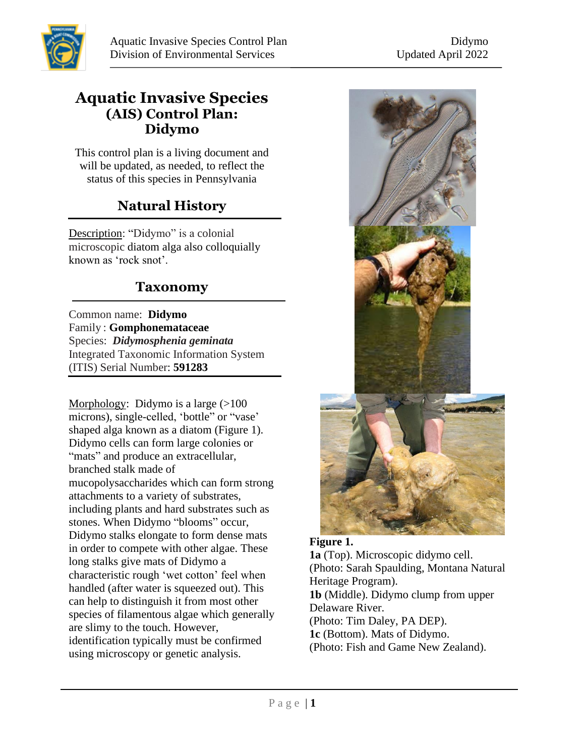

#### **Aquatic Invasive Species (AIS) Control Plan: Didymo**

This control plan is a living document and will be updated, as needed, to reflect the status of this species in Pennsylvania

# **Natural History**

Description: "Didymo" is a colonial microscopic diatom alga also colloquially known as 'rock snot'.

#### **Taxonomy**

Common name: **Didymo** Family : **[Gomphonemataceae](http://www.itis.gov/servlet/SingleRpt/SingleRpt?search_topic=TSN&search_value=4910)** Species:*Didymosphenia geminata* Integrated Taxonomic Information System (ITIS) Serial Number: **591283**

Morphology: Didymo is a large  $(>100$ microns), single-celled, 'bottle" or "vase' shaped alga known as a diatom (Figure 1). Didymo cells can form large colonies or "mats" and produce an extracellular, branched stalk made of mucopolysaccharides which can form strong attachments to a variety of substrates, including plants and hard substrates such as stones. When Didymo "blooms" occur, Didymo stalks elongate to form dense mats in order to compete with other algae. These long stalks give mats of Didymo a characteristic rough 'wet cotton' feel when handled (after water is squeezed out). This can help to distinguish it from most other species of filamentous algae which generally are slimy to the touch. However, identification typically must be confirmed using microscopy or genetic analysis.



**Figure 1. 1a** (Top). Microscopic didymo cell. (Photo: Sarah Spaulding, Montana Natural Heritage Program). **1b** (Middle). Didymo clump from upper Delaware River. (Photo: Tim Daley, PA DEP). **1c** (Bottom). Mats of Didymo. (Photo: Fish and Game New Zealand).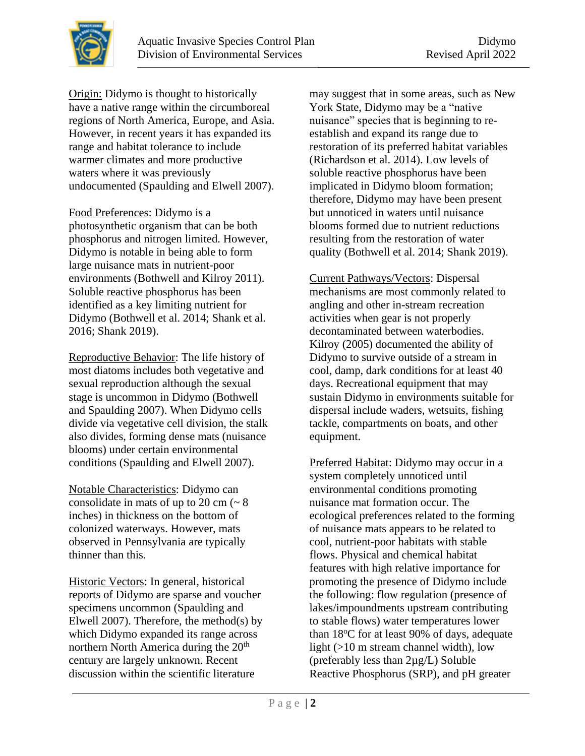Origin: Didymo is thought to historically have a native range within the circumboreal regions of North America, Europe, and Asia. However, in recent years it has expanded its range and habitat tolerance to include warmer climates and more productive waters where it was previously undocumented (Spaulding and Elwell 2007).

Food Preferences: Didymo is a photosynthetic organism that can be both phosphorus and nitrogen limited. However, Didymo is notable in being able to form large nuisance mats in nutrient-poor environments (Bothwell and Kilroy 2011). Soluble reactive phosphorus has been identified as a key limiting nutrient for Didymo (Bothwell et al. 2014; Shank et al. 2016; Shank 2019).

Reproductive Behavior: The life history of most diatoms includes both vegetative and sexual reproduction although the sexual stage is uncommon in Didymo (Bothwell and Spaulding 2007). When Didymo cells divide via vegetative cell division, the stalk also divides, forming dense mats (nuisance blooms) under certain environmental conditions (Spaulding and Elwell 2007).

Notable Characteristics: Didymo can consolidate in mats of up to 20 cm  $\left(\sim 8\right)$ inches) in thickness on the bottom of colonized waterways. However, mats observed in Pennsylvania are typically thinner than this.

Historic Vectors: In general, historical reports of Didymo are sparse and voucher specimens uncommon (Spaulding and Elwell 2007). Therefore, the method(s) by which Didymo expanded its range across northern North America during the 20<sup>th</sup> century are largely unknown. Recent discussion within the scientific literature

may suggest that in some areas, such as New York State, Didymo may be a "native nuisance" species that is beginning to reestablish and expand its range due to restoration of its preferred habitat variables (Richardson et al. 2014). Low levels of soluble reactive phosphorus have been implicated in Didymo bloom formation; therefore, Didymo may have been present but unnoticed in waters until nuisance blooms formed due to nutrient reductions resulting from the restoration of water quality (Bothwell et al. 2014; Shank 2019).

Current Pathways/Vectors: Dispersal mechanisms are most commonly related to angling and other in-stream recreation activities when gear is not properly decontaminated between waterbodies. Kilroy (2005) documented the ability of Didymo to survive outside of a stream in cool, damp, dark conditions for at least 40 days. Recreational equipment that may sustain Didymo in environments suitable for dispersal include waders, wetsuits, fishing tackle, compartments on boats, and other equipment.

Preferred Habitat: Didymo may occur in a system completely unnoticed until environmental conditions promoting nuisance mat formation occur. The ecological preferences related to the forming of nuisance mats appears to be related to cool, nutrient-poor habitats with stable flows. Physical and chemical habitat features with high relative importance for promoting the presence of Didymo include the following: flow regulation (presence of lakes/impoundments upstream contributing to stable flows) water temperatures lower than  $18^{\circ}$ C for at least 90% of days, adequate light (>10 m stream channel width), low (preferably less than 2µg/L) Soluble Reactive Phosphorus (SRP), and pH greater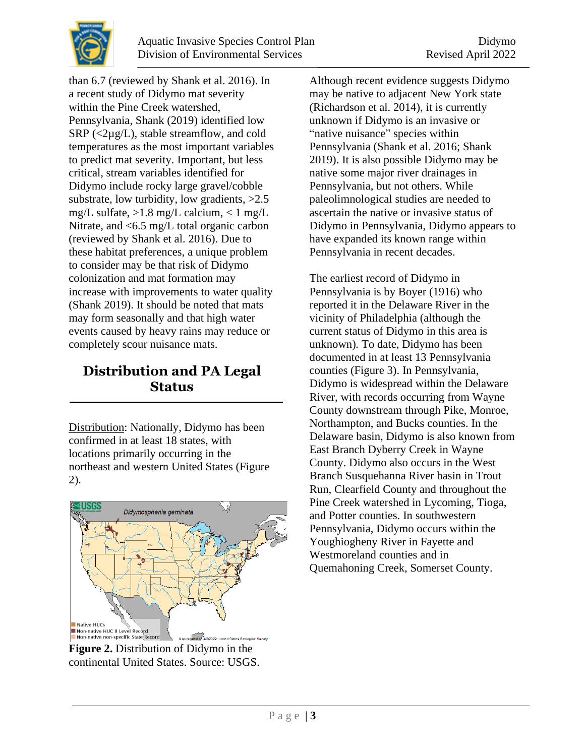

than 6.7 (reviewed by Shank et al. 2016). In a recent study of Didymo mat severity within the Pine Creek watershed, Pennsylvania, Shank (2019) identified low  $SRP$  (<2µg/L), stable streamflow, and cold temperatures as the most important variables to predict mat severity. Important, but less critical, stream variables identified for Didymo include rocky large gravel/cobble substrate, low turbidity, low gradients, >2.5 mg/L sulfate, >1.8 mg/L calcium, < 1 mg/L Nitrate, and <6.5 mg/L total organic carbon (reviewed by Shank et al. 2016). Due to these habitat preferences, a unique problem to consider may be that risk of Didymo colonization and mat formation may increase with improvements to water quality (Shank 2019). It should be noted that mats may form seasonally and that high water events caused by heavy rains may reduce or completely scour nuisance mats.

### **Distribution and PA Legal Status**

Distribution: Nationally, Didymo has been confirmed in at least 18 states, with locations primarily occurring in the northeast and western United States (Figure 2).



**Figure 2.** Distribution of Didymo in the continental United States. Source: USGS.

Although recent evidence suggests Didymo may be native to adjacent New York state (Richardson et al. 2014), it is currently unknown if Didymo is an invasive or "native nuisance" species within Pennsylvania (Shank et al. 2016; Shank 2019). It is also possible Didymo may be native some major river drainages in Pennsylvania, but not others. While paleolimnological studies are needed to ascertain the native or invasive status of Didymo in Pennsylvania, Didymo appears to have expanded its known range within Pennsylvania in recent decades.

The earliest record of Didymo in Pennsylvania is by Boyer (1916) who reported it in the Delaware River in the vicinity of Philadelphia (although the current status of Didymo in this area is unknown)*.* To date, Didymo has been documented in at least 13 Pennsylvania counties (Figure 3). In Pennsylvania, Didymo is widespread within the Delaware River, with records occurring from Wayne County downstream through Pike, Monroe, Northampton, and Bucks counties. In the Delaware basin, Didymo is also known from East Branch Dyberry Creek in Wayne County. Didymo also occurs in the West Branch Susquehanna River basin in Trout Run, Clearfield County and throughout the Pine Creek watershed in Lycoming, Tioga, and Potter counties. In southwestern Pennsylvania, Didymo occurs within the Youghiogheny River in Fayette and Westmoreland counties and in Quemahoning Creek, Somerset County.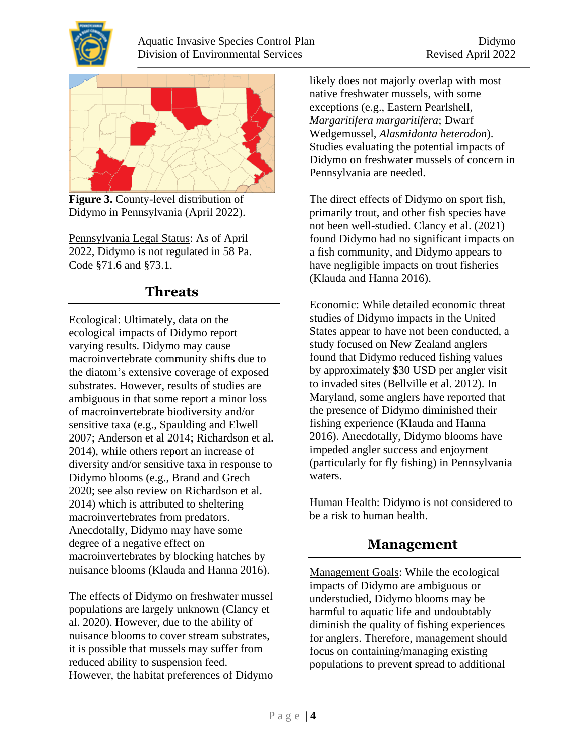



**Figure 3.** County-level distribution of Didymo in Pennsylvania (April 2022).

Pennsylvania Legal Status: As of April 2022, Didymo is not regulated in 58 Pa. Code §71.6 and §73.1.

## **Threats**

Ecological: Ultimately, data on the ecological impacts of Didymo report varying results. Didymo may cause macroinvertebrate community shifts due to the diatom's extensive coverage of exposed substrates. However, results of studies are ambiguous in that some report a minor loss of macroinvertebrate biodiversity and/or sensitive taxa (e.g., Spaulding and Elwell 2007; Anderson et al 2014; Richardson et al. 2014), while others report an increase of diversity and/or sensitive taxa in response to Didymo blooms (e.g., Brand and Grech 2020; see also review on Richardson et al. 2014) which is attributed to sheltering macroinvertebrates from predators. Anecdotally, Didymo may have some degree of a negative effect on macroinvertebrates by blocking hatches by nuisance blooms (Klauda and Hanna 2016).

The effects of Didymo on freshwater mussel populations are largely unknown (Clancy et al. 2020). However, due to the ability of nuisance blooms to cover stream substrates, it is possible that mussels may suffer from reduced ability to suspension feed. However, the habitat preferences of Didymo likely does not majorly overlap with most native freshwater mussels, with some exceptions (e.g., Eastern Pearlshell, *Margaritifera margaritifera*; Dwarf Wedgemussel, *Alasmidonta heterodon*). Studies evaluating the potential impacts of Didymo on freshwater mussels of concern in Pennsylvania are needed.

The direct effects of Didymo on sport fish, primarily trout, and other fish species have not been well-studied. Clancy et al. (2021) found Didymo had no significant impacts on a fish community, and Didymo appears to have negligible impacts on trout fisheries (Klauda and Hanna 2016).

Economic: While detailed economic threat studies of Didymo impacts in the United States appear to have not been conducted, a study focused on New Zealand anglers found that Didymo reduced fishing values by approximately \$30 USD per angler visit to invaded sites (Bellville et al. 2012). In Maryland, some anglers have reported that the presence of Didymo diminished their fishing experience (Klauda and Hanna 2016). Anecdotally, Didymo blooms have impeded angler success and enjoyment (particularly for fly fishing) in Pennsylvania waters.

Human Health: Didymo is not considered to be a risk to human health.

## **Management**

Management Goals: While the ecological impacts of Didymo are ambiguous or understudied, Didymo blooms may be harmful to aquatic life and undoubtably diminish the quality of fishing experiences for anglers. Therefore, management should focus on containing/managing existing populations to prevent spread to additional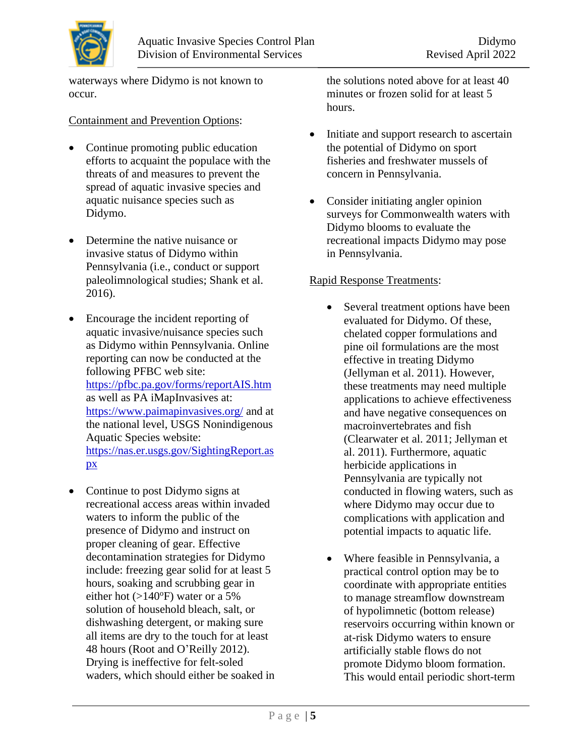waterways where Didymo is not known to occur.

#### Containment and Prevention Options:

- Continue promoting public education efforts to acquaint the populace with the threats of and measures to prevent the spread of aquatic invasive species and aquatic nuisance species such as Didymo.
- Determine the native nuisance or invasive status of Didymo within Pennsylvania (i.e., conduct or support paleolimnological studies; Shank et al. 2016).
- Encourage the incident reporting of aquatic invasive/nuisance species such as Didymo within Pennsylvania. Online reporting can now be conducted at the following PFBC web site: <https://pfbc.pa.gov/forms/reportAIS.htm> as well as PA iMapInvasives at: <https://www.paimapinvasives.org/> and at the national level, USGS Nonindigenous Aquatic Species website: [https://nas.er.usgs.gov/SightingReport.as](https://nas.er.usgs.gov/SightingReport.aspx) [px](https://nas.er.usgs.gov/SightingReport.aspx)
- Continue to post Didymo signs at recreational access areas within invaded waters to inform the public of the presence of Didymo and instruct on proper cleaning of gear. Effective decontamination strategies for Didymo include: freezing gear solid for at least 5 hours, soaking and scrubbing gear in either hot  $(>140^{\circ}F)$  water or a 5% solution of household bleach, salt, or dishwashing detergent, or making sure all items are dry to the touch for at least 48 hours (Root and O'Reilly 2012). Drying is ineffective for felt-soled waders, which should either be soaked in

the solutions noted above for at least 40 minutes or frozen solid for at least 5 hours.

- Initiate and support research to ascertain the potential of Didymo on sport fisheries and freshwater mussels of concern in Pennsylvania.
- Consider initiating angler opinion surveys for Commonwealth waters with Didymo blooms to evaluate the recreational impacts Didymo may pose in Pennsylvania.

#### Rapid Response Treatments:

- Several treatment options have been evaluated for Didymo. Of these, chelated copper formulations and pine oil formulations are the most effective in treating Didymo (Jellyman et al. 2011). However, these treatments may need multiple applications to achieve effectiveness and have negative consequences on macroinvertebrates and fish (Clearwater et al. 2011; Jellyman et al. 2011). Furthermore, aquatic herbicide applications in Pennsylvania are typically not conducted in flowing waters, such as where Didymo may occur due to complications with application and potential impacts to aquatic life.
- Where feasible in Pennsylvania, a practical control option may be to coordinate with appropriate entities to manage streamflow downstream of hypolimnetic (bottom release) reservoirs occurring within known or at-risk Didymo waters to ensure artificially stable flows do not promote Didymo bloom formation. This would entail periodic short-term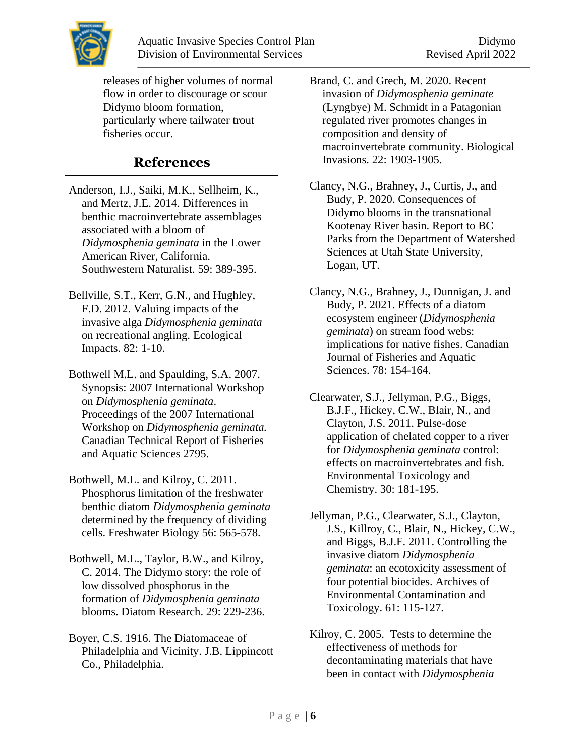

releases of higher volumes of normal flow in order to discourage or scour Didymo bloom formation, particularly where tailwater trout fisheries occur.

## **References**

- Anderson, I.J., Saiki, M.K., Sellheim, K., and Mertz, J.E. 2014. Differences in benthic macroinvertebrate assemblages associated with a bloom of *Didymosphenia geminata* in the Lower American River, California. Southwestern Naturalist. 59: 389-395.
- Bellville, S.T., Kerr, G.N., and Hughley, F.D. 2012. Valuing impacts of the invasive alga *Didymosphenia geminata*  on recreational angling. Ecological Impacts. 82: 1-10.
- Bothwell M.L. and Spaulding, S.A. 2007. Synopsis: 2007 International Workshop on *Didymosphenia geminata*. Proceedings of the 2007 International Workshop on *Didymosphenia geminata.* Canadian Technical Report of Fisheries and Aquatic Sciences 2795.
- Bothwell, M.L. and Kilroy, C. 2011. Phosphorus limitation of the freshwater benthic diatom *Didymosphenia geminata* determined by the frequency of dividing cells. Freshwater Biology 56: 565-578.
- Bothwell, M.L., Taylor, B.W., and Kilroy, C. 2014. The Didymo story: the role of low dissolved phosphorus in the formation of *Didymosphenia geminata* blooms. Diatom Research. 29: 229-236.
- Boyer, C.S. 1916. The Diatomaceae of Philadelphia and Vicinity. J.B. Lippincott Co., Philadelphia.

Brand, C. and Grech, M. 2020. Recent invasion of *Didymosphenia geminate* (Lyngbye) M. Schmidt in a Patagonian regulated river promotes changes in composition and density of macroinvertebrate community. Biological Invasions. 22: 1903-1905.

Clancy, N.G., Brahney, J., Curtis, J., and Budy, P. 2020. Consequences of Didymo blooms in the transnational Kootenay River basin. Report to BC Parks from the Department of Watershed Sciences at Utah State University, Logan, UT.

Clancy, N.G., Brahney, J., Dunnigan, J. and Budy, P. 2021. Effects of a diatom ecosystem engineer (*Didymosphenia geminata*) on stream food webs: implications for native fishes. Canadian Journal of Fisheries and Aquatic Sciences. 78: 154-164.

- Clearwater, S.J., Jellyman, P.G., Biggs, B.J.F., Hickey, C.W., Blair, N., and Clayton, J.S. 2011. Pulse-dose application of chelated copper to a river for *Didymosphenia geminata* control: effects on macroinvertebrates and fish. Environmental Toxicology and Chemistry. 30: 181-195.
- Jellyman, P.G., Clearwater, S.J., Clayton, J.S., Killroy, C., Blair, N., Hickey, C.W., and Biggs, B.J.F. 2011. Controlling the invasive diatom *Didymosphenia geminata*: an ecotoxicity assessment of four potential biocides. Archives of Environmental Contamination and Toxicology. 61: 115-127.
- Kilroy, C. 2005. Tests to determine the effectiveness of methods for decontaminating materials that have been in contact with *Didymosphenia*